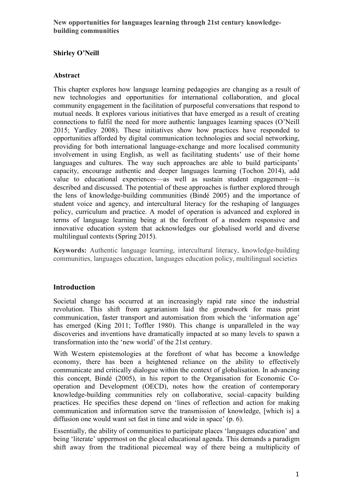**New opportunities for languages learning through 21st century knowledgebuilding communities**

# **Shirley O'Neill**

#### **Abstract**

This chapter explores how language learning pedagogies are changing as a result of new technologies and opportunities for international collaboration, and glocal community engagement in the facilitation of purposeful conversations that respond to mutual needs. It explores various initiatives that have emerged as a result of creating connections to fulfil the need for more authentic languages learning spaces (O'Neill 2015; Yardley 2008). These initiatives show how practices have responded to opportunities afforded by digital communication technologies and social networking, providing for both international language-exchange and more localised community involvement in using English, as well as facilitating students' use of their home languages and cultures. The way such approaches are able to build participants' capacity, encourage authentic and deeper languages learning (Tochon 2014), add value to educational experiences—as well as sustain student engagement—is described and discussed. The potential of these approaches is further explored through the lens of knowledge-building communities (Bindé 2005) and the importance of student voice and agency, and intercultural literacy for the reshaping of languages policy, curriculum and practice. A model of operation is advanced and explored in terms of language learning being at the forefront of a modern responsive and innovative education system that acknowledges our globalised world and diverse multilingual contexts (Spring 2015).

**Keywords:** Authentic language learning, intercultural literacy, knowledge-building communities, languages education, languages education policy, multilingual societies

# **Introduction**

Societal change has occurred at an increasingly rapid rate since the industrial revolution. This shift from agrarianism laid the groundwork for mass print communication, faster transport and automisation from which the 'information age' has emerged (King 2011; Toffler 1980). This change is unparalleled in the way discoveries and inventions have dramatically impacted at so many levels to spawn a transformation into the 'new world' of the 21st century.

With Western epistemologies at the forefront of what has become a knowledge economy, there has been a heightened reliance on the ability to effectively communicate and critically dialogue within the context of globalisation. In advancing this concept, Bindé (2005), in his report to the Organisation for Economic Cooperation and Development (OECD), notes how the creation of contemporary knowledge-building communities rely on collaborative, social–capacity building practices. He specifies these depend on 'lines of reflection and action for making communication and information serve the transmission of knowledge, [which is] a diffusion one would want set fast in time and wide in space' (p. 6).

Essentially, the ability of communities to participate places 'languages education' and being 'literate' uppermost on the glocal educational agenda. This demands a paradigm shift away from the traditional piecemeal way of there being a multiplicity of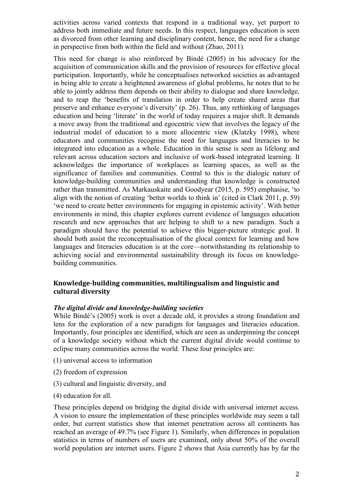activities across varied contexts that respond in a traditional way, yet purport to address both immediate and future needs. In this respect, languages education is seen as divorced from other learning and disciplinary content, hence, the need for a change in perspective from both within the field and without (Zhao, 2011).

This need for change is also reinforced by Bindé (2005) in his advocacy for the acquisition of communication skills and the provision of resources for effective glocal participation. Importantly, while he conceptualises networked societies as advantaged in being able to create a heightened awareness of global problems, he notes that to be able to jointly address them depends on their ability to dialogue and share knowledge, and to reap the 'benefits of translation in order to help create shared areas that preserve and enhance everyone's diversity' (p. 26). Thus, any rethinking of languages education and being 'literate' in the world of today requires a major shift. It demands a move away from the traditional and egocentric view that involves the legacy of the industrial model of education to a more allocentric view (Klatzky 1998), where educators and communities recognise the need for languages and literacies to be integrated into education as a whole. Education in this sense is seen as lifelong and relevant across education sectors and inclusive of work-based integrated learning. It acknowledges the importance of workplaces as learning spaces, as well as the significance of families and communities. Central to this is the dialogic nature of knowledge-building communities and understanding that knowledge is constructed rather than transmitted. As Markauskaite and Goodyear (2015, p. 595) emphasise, 'to align with the notion of creating 'better worlds to think in' (cited in Clark 2011, p. 59) 'we need to create better environments for engaging in epistemic activity'. With better environments in mind, this chapter explores current evidence of languages education research and new approaches that are helping to shift to a new paradigm. Such a paradigm should have the potential to achieve this bigger-picture strategic goal. It should both assist the reconceptualisation of the glocal context for learning and how languages and literacies education is at the core—notwithstanding its relationship to achieving social and environmental sustainability through its focus on knowledgebuilding communities.

# **Knowledge-building communities, multilingualism and linguistic and cultural diversity**

#### *The digital divide and knowledge-building societies*

While Bindé's (2005) work is over a decade old, it provides a strong foundation and lens for the exploration of a new paradigm for languages and literacies education. Importantly, four principles are identified, which are seen as underpinning the concept of a knowledge society without which the current digital divide would continue to eclipse many communities across the world. These four principles are:

- (1) universal access to information
- (2) freedom of expression
- (3) cultural and linguistic diversity, and
- (4) education for all.

These principles depend on bridging the digital divide with universal internet access. A vision to ensure the implementation of these principles worldwide may seem a tall order, but current statistics show that internet penetration across all continents has reached an average of 49.7% (see Figure 1). Similarly, when differences in population statistics in terms of numbers of users are examined, only about 50% of the overall world population are internet users. Figure 2 shows that Asia currently has by far the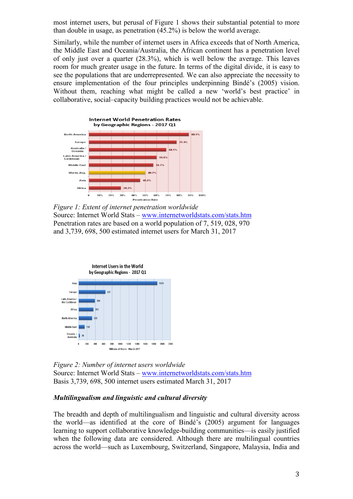most internet users, but perusal of Figure 1 shows their substantial potential to more than double in usage, as penetration (45.2%) is below the world average.

Similarly, while the number of internet users in Africa exceeds that of North America, the Middle East and Oceania/Australia, the African continent has a penetration level of only just over a quarter (28.3%), which is well below the average. This leaves room for much greater usage in the future. In terms of the digital divide, it is easy to see the populations that are underrepresented. We can also appreciate the necessity to ensure implementation of the four principles underpinning Bindé's (2005) vision. Without them, reaching what might be called a new 'world's best practice' in collaborative, social–capacity building practices would not be achievable.



*Figure 1: Extent of internet penetration worldwide* Source: Internet World Stats – [www.internetworldstats.com/stats.htm](http://www.internetworldstats.com/stats.htm) Penetration rates are based on a world population of 7, 519, 028, 970 and 3,739, 698, 500 estimated internet users for March 31, 2017



*Figure 2: Number of internet users worldwide* Source: Internet World Stats – [www.internetworldstats.com/stats.htm](http://www.internetworldstats.com/stats.htm) Basis 3,739, 698, 500 internet users estimated March 31, 2017

#### *Multilingualism and linguistic and cultural diversity*

The breadth and depth of multilingualism and linguistic and cultural diversity across the world—as identified at the core of Bindé's (2005) argument for languages learning to support collaborative knowledge-building communities—is easily justified when the following data are considered. Although there are multilingual countries across the world—such as Luxembourg, Switzerland, Singapore, Malaysia, India and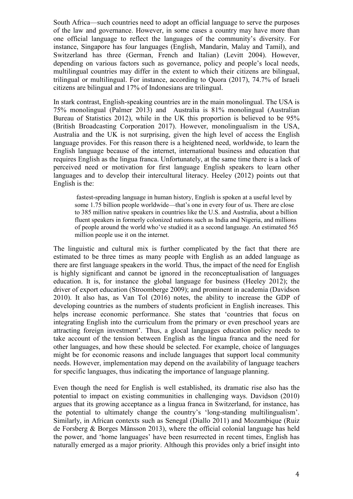South Africa—such countries need to adopt an official language to serve the purposes of the law and governance. However, in some cases a country may have more than one official language to reflect the languages of the community's diversity. For instance, Singapore has four languages (English, Mandarin, Malay and Tamil), and Switzerland has three (German, French and Italian) (Levitt 2004). However, depending on various factors such as governance, policy and people's local needs, multilingual countries may differ in the extent to which their citizens are bilingual, trilingual or multilingual. For instance, according to Quora (2017), 74.7% of Israeli citizens are bilingual and 17% of Indonesians are trilingual.

In stark contrast, English-speaking countries are in the main monolingual. The USA is 75% monolingual (Palmer 2013) and Australia is 81% monolingual (Australian Bureau of Statistics 2012), while in the UK this proportion is believed to be 95% (British Broadcasting Corporation 2017). However, monolingualism in the USA, Australia and the UK is not surprising, given the high level of access the English language provides. For this reason there is a heightened need, worldwide, to learn the English language because of the internet, international business and education that requires English as the lingua franca. Unfortunately, at the same time there is a lack of perceived need or motivation for first language English speakers to learn other languages and to develop their intercultural literacy. Heeley (2012) points out that English is the:

fastest-spreading language in human history, English is spoken at a useful level by some 1.75 billion people worldwide—that's one in every four of us. There are close to 385 million native speakers in countries like the U.S. and Australia, about a billion fluent speakers in formerly colonized nations such as India and Nigeria, and millions of people around the world who've studied it as a second language. An estimated 565 million people use it on the internet.

The linguistic and cultural mix is further complicated by the fact that there are estimated to be three times as many people with English as an added language as there are first language speakers in the world. Thus, the impact of the need for English is highly significant and cannot be ignored in the reconceptualisation of languages education. It is, for instance the global language for business (Heeley 2012); the driver of export education (Stroomberge 2009); and prominent in academia (Davidson 2010). It also has, as Van Tol (2016) notes, the ability to increase the GDP of developing countries as the numbers of students proficient in English increases. This helps increase economic performance. She states that 'countries that focus on integrating English into the curriculum from the primary or even preschool years are attracting foreign investment'. Thus, a glocal languages education policy needs to take account of the tension between English as the lingua franca and the need for other languages, and how these should be selected. For example, choice of languages might be for economic reasons and include languages that support local community needs. However, implementation may depend on the availability of language teachers for specific languages, thus indicating the importance of language planning.

Even though the need for English is well established, its dramatic rise also has the potential to impact on existing communities in challenging ways. Davidson (2010) argues that its growing acceptance as a lingua franca in Switzerland, for instance, has the potential to ultimately change the country's 'long-standing multilingualism'. Similarly, in African contexts such as Senegal (Diallo 2011) and Mozambique (Ruiz de Forsberg & Borges Månsson 2013), where the official colonial language has held the power, and 'home languages' have been resurrected in recent times, English has naturally emerged as a major priority. Although this provides only a brief insight into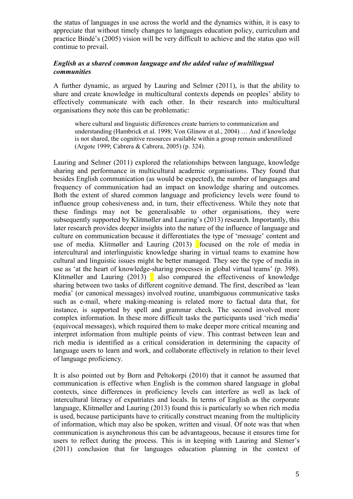the status of languages in use across the world and the dynamics within, it is easy to appreciate that without timely changes to languages education policy, curriculum and practice Bindé's (2005) vision will be very difficult to achieve and the status quo will continue to prevail.

## *English as a shared common language and the added value of multilingual communities*

A further dynamic, as argued by Lauring and Selmer (2011), is that the ability to share and create knowledge in multicultural contexts depends on peoples' ability to effectively communicate with each other. In their research into multicultural organisations they note this can be problematic:

where cultural and linguistic differences create barriers to communication and understanding (Hambrick et al. 1998; Von Glinow et al., 2004) … And if knowledge is not shared, the cognitive resources available within a group remain underutilized (Argote 1999; Cabrera & Cabrera, 2005) (p. 324).

Lauring and Selmer (2011) explored the relationships between language, knowledge sharing and performance in multicultural academic organisations. They found that besides English communication (as would be expected), the number of languages and frequency of communication had an impact on knowledge sharing and outcomes. Both the extent of shared common language and proficiency levels were found to influence group cohesiveness and, in turn, their effectiveness. While they note that these findings may not be generalisable to other organisations, they were subsequently supported by Klitmøller and Lauring's (2013) research. Importantly, this later research provides deeper insights into the nature of the influence of language and culture on communication because it differentiates the type of 'message' content and use of media. Klitmøller and Lauring  $(2013)$  focused on the role of media in intercultural and interlinguistic knowledge sharing in virtual teams to examine how cultural and linguistic issues might be better managed. They see the type of media in use as 'at the heart of knowledge-sharing processes in global virtual teams' (p. 398). Klitmøller and Lauring  $(2013)$  also compared the effectiveness of knowledge sharing between two tasks of different cognitive demand. The first, described as 'lean media' (or canonical messages) involved routine, unambiguous communicative tasks such as e-mail, where making-meaning is related more to factual data that, for instance, is supported by spell and grammar check. The second involved more complex information. In these more difficult tasks the participants used 'rich media' (equivocal messages), which required them to make deeper more critical meaning and interpret information from multiple points of view. This contrast between lean and rich media is identified as a critical consideration in determining the capacity of language users to learn and work, and collaborate effectively in relation to their level of language proficiency.

It is also pointed out by Born and Peltokorpi (2010) that it cannot be assumed that communication is effective when English is the common shared language in global contexts, since differences in proficiency levels can interfere as well as lack of intercultural literacy of expatriates and locals. In terms of English as the corporate language, Klitmøller and Lauring (2013) found this is particularly so when rich media is used, because participants have to critically construct meaning from the multiplicity of information, which may also be spoken, written and visual. Of note was that when communication is asynchronous this can be advantageous, because it ensures time for users to reflect during the process. This is in keeping with Lauring and Slemer's (2011) conclusion that for languages education planning in the context of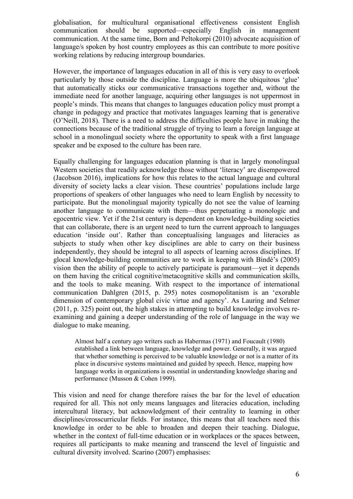globalisation, for multicultural organisational effectiveness consistent English communication should be supported—especially English in management communication. At the same time, Born and Peltokorpi (2010) advocate acquisition of language/s spoken by host country employees as this can contribute to more positive working relations by reducing intergroup boundaries.

However, the importance of languages education in all of this is very easy to overlook particularly by those outside the discipline. Language is more the ubiquitous 'glue' that automatically sticks our communicative transactions together and, without the immediate need for another language, acquiring other languages is not uppermost in people's minds. This means that changes to languages education policy must prompt a change in pedagogy and practice that motivates languages learning that is generative (O'Neill, 2018). There is a need to address the difficulties people have in making the connections because of the traditional struggle of trying to learn a foreign language at school in a monolingual society where the opportunity to speak with a first language speaker and be exposed to the culture has been rare.

Equally challenging for languages education planning is that in largely monolingual Western societies that readily acknowledge those without 'literacy' are disempowered (Jacobson 2016), implications for how this relates to the actual language and cultural diversity of society lacks a clear vision. These countries' populations include large proportions of speakers of other languages who need to learn English by necessity to participate. But the monolingual majority typically do not see the value of learning another language to communicate with them—thus perpetuating a monologic and egocentric view. Yet if the 21st century is dependent on knowledge-building societies that can collaborate, there is an urgent need to turn the current approach to languages education 'inside out'. Rather than conceptualising languages and literacies as subjects to study when other key disciplines are able to carry on their business independently, they should be integral to all aspects of learning across disciplines. If glocal knowledge-building communities are to work in keeping with Bindé's (2005) vision then the ability of people to actively participate is paramount—yet it depends on them having the critical cognitive/metacognitive skills and communication skills, and the tools to make meaning. With respect to the importance of international communication Dahlgren (2015, p. 295) notes cosmopolitanism is an 'exorable dimension of contemporary global civic virtue and agency'. As Lauring and Selmer (2011, p. 325) point out, the high stakes in attempting to build knowledge involves reexamining and gaining a deeper understanding of the role of language in the way we dialogue to make meaning.

Almost half a century ago writers such as Habermas (1971) and Foucault (1980) established a link between language, knowledge and power. Generally, it was argued that whether something is perceived to be valuable knowledge or not is a matter of its place in discursive systems maintained and guided by speech. Hence, mapping how language works in organizations is essential in understanding knowledge sharing and performance (Musson & Cohen 1999).

This vision and need for change therefore raises the bar for the level of education required for all. This not only means languages and literacies education, including intercultural literacy, but acknowledgment of their centrality to learning in other disciplines/crosscurricular fields. For instance, this means that all teachers need this knowledge in order to be able to broaden and deepen their teaching. Dialogue, whether in the context of full-time education or in workplaces or the spaces between, requires all participants to make meaning and transcend the level of linguistic and cultural diversity involved. Scarino (2007) emphasises: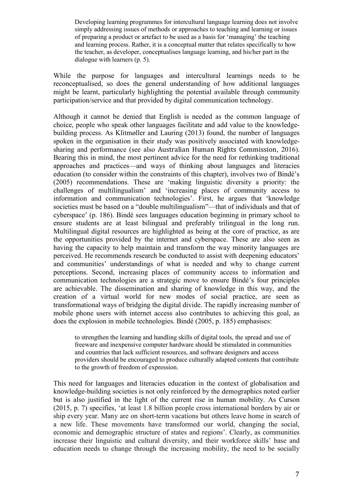Developing learning programmes for intercultural language learning does not involve simply addressing issues of methods or approaches to teaching and learning or issues of preparing a product or artefact to be used as a basis for 'managing' the teaching and learning process. Rather, it is a conceptual matter that relates specifically to how the teacher, as developer, conceptualises language learning, and his/her part in the dialogue with learners (p. 5).

While the purpose for languages and intercultural learnings needs to be reconceptualised, so does the general understanding of how additional languages might be learnt, particularly highlighting the potential available through community participation/service and that provided by digital communication technology.

Although it cannot be denied that English is needed as the common language of choice, people who speak other languages facilitate and add value to the knowledgebuilding process. As Klitmøller and Lauring (2013) found, the number of languages spoken in the organisation in their study was positively associated with knowledgesharing and performance (see also Australian Human Rights Commission, 2016). Bearing this in mind, the most pertinent advice for the need for rethinking traditional approaches and practices—and ways of thinking about languages and literacies education (to consider within the constraints of this chapter), involves two of Bindé's (2005) recommendations. These are 'making linguistic diversity a priority: the challenges of multilingualism' and 'increasing places of community access to information and communication technologies'. First, he argues that 'knowledge societies must be based on a "double multilingualism"—that of individuals and that of cyberspace' (p. 186). Bindé sees languages education beginning in primary school to ensure students are at least bilingual and preferably trilingual in the long run. Multilingual digital resources are highlighted as being at the core of practice, as are the opportunities provided by the internet and cyberspace. These are also seen as having the capacity to help maintain and transform the way minority languages are perceived. He recommends research be conducted to assist with deepening educators' and communities' understandings of what is needed and why to change current perceptions. Second, increasing places of community access to information and communication technologies are a strategic move to ensure Bindé's four principles are achievable. The dissemination and sharing of knowledge in this way, and the creation of a virtual world for new modes of social practice, are seen as transformational ways of bridging the digital divide. The rapidly increasing number of mobile phone users with internet access also contributes to achieving this goal, as does the explosion in mobile technologies. Bindé (2005, p. 185) emphasises:

to strengthen the learning and handling skills of digital tools, the spread and use of freeware and inexpensive computer hardware should be stimulated in communities and countries that lack sufficient resources, and software designers and access providers should be encouraged to produce culturally adapted contents that contribute to the growth of freedom of expression.

This need for languages and literacies education in the context of globalisation and knowledge-building societies is not only reinforced by the demographics noted earlier but is also justified in the light of the current rise in human mobility. As Curson (2015, p. 7) specifies, 'at least 1.8 billion people cross international borders by air or ship every year. Many are on short-term vacations but others leave home in search of a new life. These movements have transformed our world, changing the social, economic and demographic structure of states and regions'. Clearly, as communities increase their linguistic and cultural diversity, and their workforce skills' base and education needs to change through the increasing mobility, the need to be socially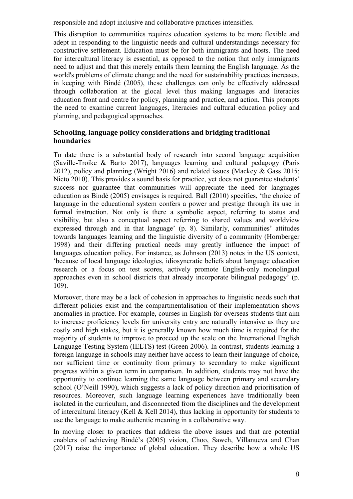responsible and adopt inclusive and collaborative practices intensifies.

This disruption to communities requires education systems to be more flexible and adept in responding to the linguistic needs and cultural understandings necessary for constructive settlement. Education must be for both immigrants and hosts. The need for intercultural literacy is essential, as opposed to the notion that only immigrants need to adjust and that this merely entails them learning the English language. As the world's problems of climate change and the need for sustainability practices increases, in keeping with Bindé (2005), these challenges can only be effectively addressed through collaboration at the glocal level thus making languages and literacies education front and centre for policy, planning and practice, and action. This prompts the need to examine current languages, literacies and cultural education policy and planning, and pedagogical approaches.

# **Schooling, language policy considerations and bridging traditional boundaries**

To date there is a substantial body of research into second language acquisition (Saville-Troike & Barto 2017), languages learning and cultural pedagogy (Paris 2012), policy and planning (Wright 2016) and related issues (Mackey & Gass 2015; Nieto 2010). This provides a sound basis for practice, yet does not guarantee students' success nor guarantee that communities will appreciate the need for languages education as Bindé (2005) envisages is required. Ball (2010) specifies, 'the choice of language in the educational system confers a power and prestige through its use in formal instruction. Not only is there a symbolic aspect, referring to status and visibility, but also a conceptual aspect referring to shared values and worldview expressed through and in that language' (p. 8). Similarly, communities' attitudes towards languages learning and the linguistic diversity of a community (Hornberger 1998) and their differing practical needs may greatly influence the impact of languages education policy. For instance, as Johnson (2013) notes in the US context, 'because of local language ideologies, idiosyncratic beliefs about language education research or a focus on test scores, actively promote English-only monolingual approaches even in school districts that already incorporate bilingual pedagogy' (p. 109).

Moreover, there may be a lack of cohesion in approaches to linguistic needs such that different policies exist and the compartmentalisation of their implementation shows anomalies in practice. For example, courses in English for overseas students that aim to increase proficiency levels for university entry are naturally intensive as they are costly and high stakes, but it is generally known how much time is required for the majority of students to improve to proceed up the scale on the International English Language Testing System (IELTS) test (Green 2006). In contrast, students learning a foreign language in schools may neither have access to learn their language of choice, nor sufficient time or continuity from primary to secondary to make significant progress within a given term in comparison. In addition, students may not have the opportunity to continue learning the same language between primary and secondary school (O'Neill 1990), which suggests a lack of policy direction and prioritisation of resources. Moreover, such language learning experiences have traditionally been isolated in the curriculum, and disconnected from the disciplines and the development of intercultural literacy (Kell & Kell 2014), thus lacking in opportunity for students to use the language to make authentic meaning in a collaborative way.

In moving closer to practices that address the above issues and that are potential enablers of achieving Bindé's (2005) vision, Choo, Sawch, Villanueva and Chan (2017) raise the importance of global education. They describe how a whole US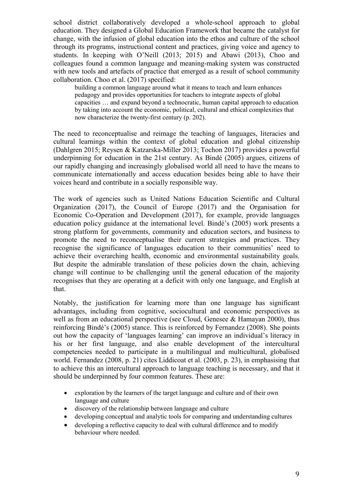school district collaboratively developed a whole-school approach to global education. They designed a Global Education Framework that became the catalyst for change, with the infusion of global education into the ethos and culture of the school through its programs, instructional content and practices, giving voice and agency to students. In keeping with O'Neill (2013; 2015) and Abawi (2013), Choo and colleagues found a common language and meaning-making system was constructed with new tools and artefacts of practice that emerged as a result of school community collaboration. Choo et al. (2017) specified:

building a common language around what it means to teach and learn enhances pedagogy and provides opportunities for teachers to integrate aspects of global capacities … and expand beyond a technocratic, human capital approach to education by taking into account the economic, political, cultural and ethical complexities that now characterize the twenty-first century (p. 202).

The need to reconceptualise and reimage the teaching of languages, literacies and cultural learnings within the context of global education and global citizenship (Dahlgren 2015; Reysen & Katzarska-Miller 2013; Tochon 2017) provides a powerful underpinning for education in the 21st century. As Bindé (2005) argues, citizens of our rapidly changing and increasingly globalised world all need to have the means to communicate internationally and access education besides being able to have their voices heard and contribute in a socially responsible way.

The work of agencies such as United Nations Education Scientific and Cultural Organization (2017), the Council of Europe (2017) and the Organisation for Economic Co-Operation and Development (2017), for example, provide languages education policy guidance at the international level. Bindé's (2005) work presents a strong platform for governments, community and education sectors, and business to promote the need to reconceptualise their current strategies and practices. They recognise the significance of languages education to their communities' need to achieve their overarching health, economic and environmental sustainability goals. But despite the admirable translation of these policies down the chain, achieving change will continue to be challenging until the general education of the majority recognises that they are operating at a deficit with only one language, and English at that.

Notably, the justification for learning more than one language has significant advantages, including from cognitive, sociocultural and economic perspectives as well as from an educational perspective (see Cloud, Genesee & Hamayan 2000), thus reinforcing Bindé's (2005) stance. This is reinforced by Fernandez (2008). She points out how the capacity of 'languages learning' can improve an individual's literacy in his or her first language, and also enable development of the intercultural competencies needed to participate in a multilingual and multicultural, globalised world. Fernandez (2008, p. 21) cites Liddicoat et al. (2003, p. 23), in emphasising that to achieve this an intercultural approach to language teaching is necessary, and that it should be underpinned by four common features. These are:

- exploration by the learners of the target language and culture and of their own language and culture
- discovery of the relationship between language and culture
- developing conceptual and analytic tools for comparing and understanding cultures
- developing a reflective capacity to deal with cultural difference and to modify behaviour where needed.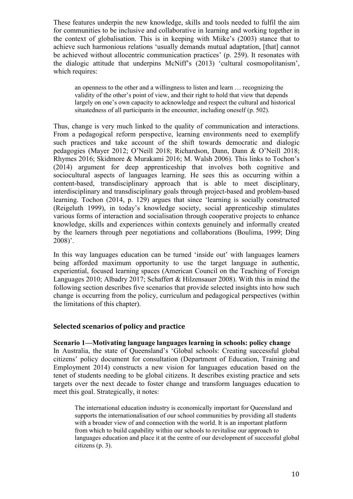These features underpin the new knowledge, skills and tools needed to fulfil the aim for communities to be inclusive and collaborative in learning and working together in the context of globalisation. This is in keeping with Miike's (2003) stance that to achieve such harmonious relations 'usually demands mutual adaptation, [that] cannot be achieved without allocentric communication practices' (p. 259). It resonates with the dialogic attitude that underpins McNiff's (2013) 'cultural cosmopolitanism', which requires:

an openness to the other and a willingness to listen and learn … recognizing the validity of the other's point of view, and their right to hold that view that depends largely on one's own capacity to acknowledge and respect the cultural and historical situatedness of all participants in the encounter, including oneself (p. 502).

Thus, change is very much linked to the quality of communication and interactions. From a pedagogical reform perspective, learning environments need to exemplify such practices and take account of the shift towards democratic and dialogic pedagogies (Mayer 2012; O'Neill 2018; Richardson, Dann, Dann & O'Neill 2018; Rhymes 2016; Skidmore & Murakami 2016; M. Walsh 2006). This links to Tochon's (2014) argument for deep apprenticeship that involves both cognitive and sociocultural aspects of languages learning. He sees this as occurring within a content-based, transdisciplinary approach that is able to meet disciplinary, interdisciplinary and transdisciplinary goals through project-based and problem-based learning. Tochon (2014, p. 129) argues that since 'learning is socially constructed (Reigeluth 1999), in today's knowledge society, social apprenticeship stimulates various forms of interaction and socialisation through cooperative projects to enhance knowledge, skills and experiences within contexts genuinely and informally created by the learners through peer negotiations and collaborations (Boulima, 1999; Ding 2008)'.

In this way languages education can be turned 'inside out' with languages learners being afforded maximum opportunity to use the target language in authentic, experiential, focused learning spaces (American Council on the Teaching of Foreign Languages 2010; Albadry 2017; Schaffert & Hilzensauer 2008). With this in mind the following section describes five scenarios that provide selected insights into how such change is occurring from the policy, curriculum and pedagogical perspectives (within the limitations of this chapter).

#### **Selected scenarios of policy and practice**

**Scenario 1—Motivating language languages learning in schools: policy change**  In Australia, the state of Queensland's 'Global schools: Creating successful global citizens' policy document for consultation (Department of Education, Training and Employment 2014) constructs a new vision for languages education based on the tenet of students needing to be global citizens. It describes existing practice and sets targets over the next decade to foster change and transform languages education to meet this goal. Strategically, it notes:

The international education industry is economically important for Queensland and supports the internationalisation of our school communities by providing all students with a broader view of and connection with the world. It is an important platform from which to build capability within our schools to revitalise our approach to languages education and place it at the centre of our development of successful global citizens (p. 3).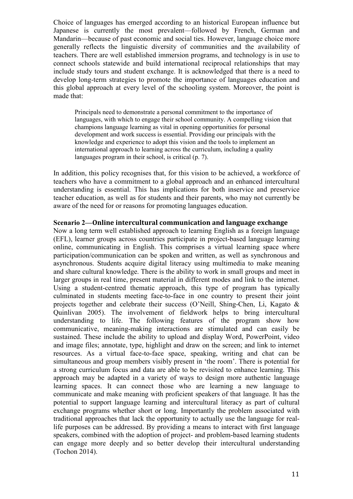Choice of languages has emerged according to an historical European influence but Japanese is currently the most prevalent—followed by French, German and Mandarin—because of past economic and social ties. However, language choice more generally reflects the linguistic diversity of communities and the availability of teachers. There are well established immersion programs, and technology is in use to connect schools statewide and build international reciprocal relationships that may include study tours and student exchange. It is acknowledged that there is a need to develop long-term strategies to promote the importance of languages education and this global approach at every level of the schooling system. Moreover, the point is made that:

Principals need to demonstrate a personal commitment to the importance of languages, with which to engage their school community. A compelling vision that champions language learning as vital in opening opportunities for personal development and work success is essential. Providing our principals with the knowledge and experience to adopt this vision and the tools to implement an international approach to learning across the curriculum, including a quality languages program in their school, is critical (p. 7).

In addition, this policy recognises that, for this vision to be achieved, a workforce of teachers who have a commitment to a global approach and an enhanced intercultural understanding is essential. This has implications for both inservice and preservice teacher education, as well as for students and their parents, who may not currently be aware of the need for or reasons for promoting languages education.

#### **Scenario 2—Online intercultural communication and language exchange**

Now a long term well established approach to learning English as a foreign language (EFL), learner groups across countries participate in project-based language learning online, communicating in English. This comprises a virtual learning space where participation/communication can be spoken and written, as well as synchronous and asynchronous. Students acquire digital literacy using multimedia to make meaning and share cultural knowledge. There is the ability to work in small groups and meet in larger groups in real time, present material in different modes and link to the internet. Using a student-centred thematic approach, this type of program has typically culminated in students meeting face-to-face in one country to present their joint projects together and celebrate their success (O'Neill, Shing-Chen, Li, Kagato & Quinlivan 2005). The involvement of fieldwork helps to bring intercultural understanding to life. The following features of the program show how communicative, meaning-making interactions are stimulated and can easily be sustained. These include the ability to upload and display Word, PowerPoint, video and image files; annotate, type, highlight and draw on the screen; and link to internet resources. As a virtual face-to-face space, speaking, writing and chat can be simultaneous and group members visibly present in 'the room'. There is potential for a strong curriculum focus and data are able to be revisited to enhance learning. This approach may be adapted in a variety of ways to design more authentic language learning spaces. It can connect those who are learning a new language to communicate and make meaning with proficient speakers of that language. It has the potential to support language learning and intercultural literacy as part of cultural exchange programs whether short or long. Importantly the problem associated with traditional approaches that lack the opportunity to actually use the language for reallife purposes can be addressed. By providing a means to interact with first language speakers, combined with the adoption of project- and problem-based learning students can engage more deeply and so better develop their intercultural understanding (Tochon 2014).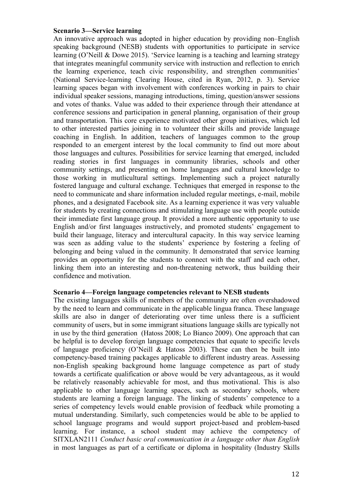#### **Scenario 3—Service learning**

An innovative approach was adopted in higher education by providing non–English speaking background (NESB) students with opportunities to participate in service learning (O'Neill & Dowe 2015). 'Service learning is a teaching and learning strategy that integrates meaningful community service with instruction and reflection to enrich the learning experience, teach civic responsibility, and strengthen communities' (National Service-learning Clearing House, cited in Ryan, 2012, p. 3). Service learning spaces began with involvement with conferences working in pairs to chair individual speaker sessions, managing introductions, timing, question/answer sessions and votes of thanks. Value was added to their experience through their attendance at conference sessions and participation in general planning, organisation of their group and transportation. This core experience motivated other group initiatives, which led to other interested parties joining in to volunteer their skills and provide language coaching in English. In addition, teachers of languages common to the group responded to an emergent interest by the local community to find out more about those languages and cultures. Possibilities for service learning that emerged, included reading stories in first languages in community libraries, schools and other community settings, and presenting on home languages and cultural knowledge to those working in mutlicultural settings. Implementing such a project naturally fostered language and cultural exchange. Techniques that emerged in response to the need to communicate and share information included regular meetings, e-mail, mobile phones, and a designated Facebook site. As a learning experience it was very valuable for students by creating connections and stimulating language use with people outside their immediate first language group. It provided a more authentic opportunity to use English and/or first languages instructively, and promoted students' engagement to build their language, literacy and intercultural capacity. In this way service learning was seen as adding value to the students' experience by fostering a feeling of belonging and being valued in the community. It demonstrated that service learning provides an opportunity for the students to connect with the staff and each other, linking them into an interesting and non-threatening network, thus building their confidence and motivation.

### **Scenario 4—Foreign language competencies relevant to NESB students**

The existing languages skills of members of the community are often overshadowed by the need to learn and communicate in the applicable lingua franca. These language skills are also in danger of deteriorating over time unless there is a sufficient community of users, but in some immigrant situations language skills are typically not in use by the third generation (Hatoss 2008; Lo Bianco 2009). One approach that can be helpful is to develop foreign language competencies that equate to specific levels of language proficiency (O'Neill & Hatoss 2003). These can then be built into competency-based training packages applicable to different industry areas. Assessing non-English speaking background home language competence as part of study towards a certificate qualification or above would be very advantageous, as it would be relatively reasonably achievable for most, and thus motivational. This is also applicable to other language learning spaces, such as secondary schools, where students are learning a foreign language. The linking of students' competence to a series of competency levels would enable provision of feedback while promoting a mutual understanding. Similarly, such competencies would be able to be applied to school language programs and would support project-based and problem-based learning. For instance, a school student may achieve the competency of SITXLAN2111 *Conduct basic oral communication in a language other than English* in most languages as part of a certificate or diploma in hospitality (Industry Skills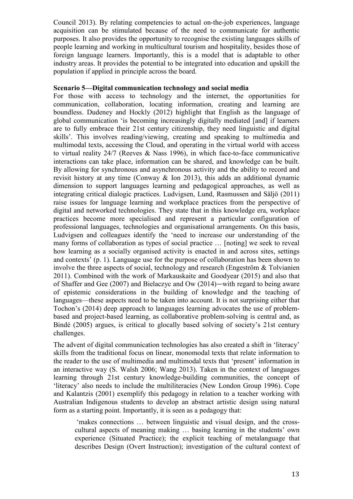Council 2013). By relating competencies to actual on-the-job experiences, language acquisition can be stimulated because of the need to communicate for authentic purposes. It also provides the opportunity to recognise the existing languages skills of people learning and working in multicultural tourism and hospitality, besides those of foreign language learners. Importantly, this is a model that is adaptable to other industry areas. It provides the potential to be integrated into education and upskill the population if applied in principle across the board.

### **Scenario 5—Digital communication technology and social media**

For those with access to technology and the internet, the opportunities for communication, collaboration, locating information, creating and learning are boundless. Dudeney and Hockly (2012) highlight that English as the language of global communication 'is becoming increasingly digitally mediated [and] if learners are to fully embrace their 21st century citizenship, they need linguistic and digital skills'. This involves reading/viewing, creating and speaking to multimedia and multimodal texts, accessing the Cloud, and operating in the virtual world with access to virtual reality 24/7 (Reeves & Nass 1996), in which face-to-face communicative interactions can take place, information can be shared, and knowledge can be built. By allowing for synchronous and asynchronous activity and the ability to record and revisit history at any time (Conway & Ion 2013), this adds an additional dynamic dimension to support languages learning and pedagogical approaches, as well as integrating critical dialogic practices. Ludvigsen, Lund, Rasmussen and Säljö (2011) raise issues for language learning and workplace practices from the perspective of digital and networked technologies. They state that in this knowledge era, workplace practices become more specialised and represent a particular configuration of professional languages, technologies and organisational arrangements. On this basis, Ludvigsen and colleagues identify the 'need to increase our understanding of the many forms of collaboration as types of social practice … [noting] we seek to reveal how learning as a socially organised activity is enacted in and across sites, settings and contexts' (p. 1). Language use for the purpose of collaboration has been shown to involve the three aspects of social, technology and research (Engeström & Tolvianien 2011). Combined with the work of Markauskaite and Goodyear (2015) and also that of Shaffer and Gee (2007) and Bielaczyc and Ow (2014)—with regard to being aware of epistemic considerations in the building of knowledge and the teaching of languages—these aspects need to be taken into account. It is not surprising either that Tochon's (2014) deep approach to languages learning advocates the use of problembased and project-based learning, as collaborative problem-solving is central and, as Bindé (2005) argues, is critical to glocally based solving of society's 21st century challenges.

The advent of digital communication technologies has also created a shift in 'literacy' skills from the traditional focus on linear, monomodal texts that relate information to the reader to the use of multimedia and multimodal texts that 'present' information in an interactive way (S. Walsh 2006; Wang 2013). Taken in the context of languages learning through 21st century knowledge-building communities, the concept of 'literacy' also needs to include the multiliteracies (New London Group 1996). Cope and Kalantzis (2001) exemplify this pedagogy in relation to a teacher working with Australian Indigenous students to develop an abstract artistic design using natural form as a starting point. Importantly, it is seen as a pedagogy that:

'makes connections … between linguistic and visual design, and the crosscultural aspects of meaning making … basing learning in the students' own experience (Situated Practice); the explicit teaching of metalanguage that describes Design (Overt Instruction); investigation of the cultural context of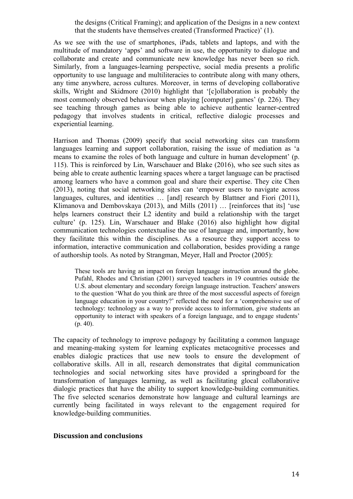the designs (Critical Framing); and application of the Designs in a new context that the students have themselves created (Transformed Practice)' (1).

As we see with the use of smartphones, iPads, tablets and laptops, and with the multitude of mandatory 'apps' and software in use, the opportunity to dialogue and collaborate and create and communicate new knowledge has never been so rich. Similarly, from a languages-learning perspective, social media presents a prolific opportunity to use language and multiliteracies to contribute along with many others, any time anywhere, across cultures. Moreover, in terms of developing collaborative skills, Wright and Skidmore (2010) highlight that '[c]ollaboration is probably the most commonly observed behaviour when playing [computer] games' (p. 226). They see teaching through games as being able to achieve authentic learner-centred pedagogy that involves students in critical, reflective dialogic processes and experiential learning.

Harrison and Thomas (2009) specify that social networking sites can transform languages learning and support collaboration, raising the issue of mediation as 'a means to examine the roles of both language and culture in human development' (p. 115). This is reinforced by Lin, Warschauer and Blake (2016), who see such sites as being able to create authentic learning spaces where a target language can be practised among learners who have a common goal and share their expertise. They cite Chen (2013), noting that social networking sites can 'empower users to navigate across languages, cultures, and identities ... [and] research by Blattner and Fiori (2011), Klimanova and Dembovskaya (2013), and Mills (2011) … [reinforces that its] 'use helps learners construct their L2 identity and build a relationship with the target culture' (p. 125). Lin, Warschauer and Blake (2016) also highlight how digital communication technologies contextualise the use of language and, importantly, how they facilitate this within the disciplines. As a resource they support access to information, interactive communication and collaboration, besides providing a range of authorship tools. As noted by Strangman, Meyer, Hall and Proctor (2005):

These tools are having an impact on foreign language instruction around the globe. Pufahl, Rhodes and Christian (2001) surveyed teachers in 19 countries outside the U.S. about elementary and secondary foreign language instruction. Teachers' answers to the question 'What do you think are three of the most successful aspects of foreign language education in your country?' reflected the need for a 'comprehensive use of technology: technology as a way to provide access to information, give students an opportunity to interact with speakers of a foreign language, and to engage students' (p. 40).

The capacity of technology to improve pedagogy by facilitating a common language and meaning-making system for learning explicates metacognitive processes and enables dialogic practices that use new tools to ensure the development of collaborative skills. All in all, research demonstrates that digital communication technologies and social networking sites have provided a springboard for the transformation of languages learning, as well as facilitating glocal collaborative dialogic practices that have the ability to support knowledge-building communities. The five selected scenarios demonstrate how language and cultural learnings are currently being facilitated in ways relevant to the engagement required for knowledge-building communities.

#### **Discussion and conclusions**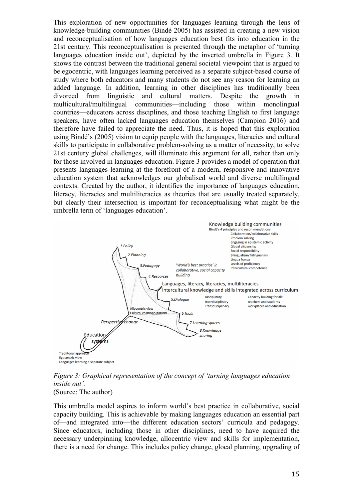This exploration of new opportunities for languages learning through the lens of knowledge-building communities (Bindé 2005) has assisted in creating a new vision and reconceptualisation of how languages education best fits into education in the 21st century. This reconceptualisation is presented through the metaphor of 'turning languages education inside out', depicted by the inverted umbrella in Figure 3. It shows the contrast between the traditional general societal viewpoint that is argued to be egocentric, with languages learning perceived as a separate subject-based course of study where both educators and many students do not see any reason for learning an added language. In addition, learning in other disciplines has traditionally been divorced from linguistic and cultural matters. Despite the growth in multicultural/multilingual communities—including those within monolingual countries—educators across disciplines, and those teaching English to first language speakers, have often lacked languages education themselves (Campion 2016) and therefore have failed to appreciate the need. Thus, it is hoped that this exploration using Bindé's (2005) vision to equip people with the languages, literacies and cultural skills to participate in collaborative problem-solving as a matter of necessity, to solve 21st century global challenges, will illuminate this argument for all, rather than only for those involved in languages education. Figure 3 provides a model of operation that presents languages learning at the forefront of a modern, responsive and innovative education system that acknowledges our globalised world and diverse multilingual contexts. Created by the author, it identifies the importance of languages education, literacy, literacies and multiliteracies as theories that are usually treated separately, but clearly their intersection is important for reconceptualising what might be the umbrella term of 'languages education'.



*Figure 3: Graphical representation of the concept of 'turning languages education inside out'.* (Source: The author)

This umbrella model aspires to inform world's best practice in collaborative, social capacity building. This is achievable by making languages education an essential part of—and integrated into—the different education sectors' curricula and pedagogy. Since educators, including those in other disciplines, need to have acquired the necessary underpinning knowledge, allocentric view and skills for implementation, there is a need for change. This includes policy change, glocal planning, upgrading of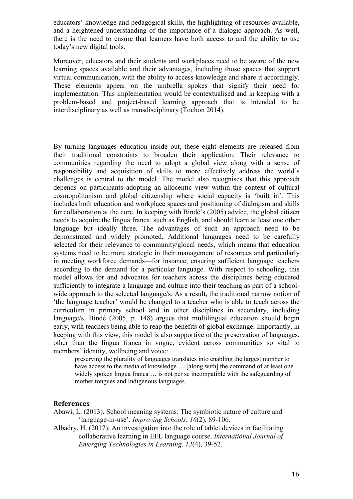educators' knowledge and pedagogical skills, the highlighting of resources available, and a heightened understanding of the importance of a dialogic approach. As well, there is the need to ensure that learners have both access to and the ability to use today's new digital tools.

Moreover, educators and their students and workplaces need to be aware of the new learning spaces available and their advantages, including those spaces that support virtual communication, with the ability to access knowledge and share it accordingly. These elements appear on the umbrella spokes that signify their need for implementation. This implementation would be contextualised and in keeping with a problem-based and project-based learning approach that is intended to be interdisciplinary as well as transdisciplinary (Tochon 2014).

By turning languages education inside out, these eight elements are released from their traditional constraints to broaden their application. Their relevance to communities regarding the need to adopt a global view along with a sense of responsibility and acquisition of skills to more effectively address the world's challenges is central to the model. The model also recognises that this approach depends on participants adopting an allocentic view within the context of cultural cosmopolitanism and global citizenship where social capacity is 'built in'. This includes both education and workplace spaces and positioning of dialogism and skills for collaboration at the core. In keeping with Bindé's (2005) advice, the global citizen needs to acquire the lingua franca, such as English, and should learn at least one other language but ideally three. The advantages of such an approach need to be demonstrated and widely promoted. Additional languages need to be carefully selected for their relevance to community/glocal needs, which means that education systems need to be more strategic in their management of resources and particularly in meeting workforce demands—for instance, ensuring sufficient language teachers according to the demand for a particular language. With respect to schooling, this model allows for and advocates for teachers across the disciplines being educated sufficiently to integrate a language and culture into their teaching as part of a schoolwide approach to the selected language/s. As a result, the traditional narrow notion of 'the language teacher' would be changed to a teacher who is able to teach across the curriculum in primary school and in other disciplines in secondary, including language/s. Bindé (2005, p. 148) argues that multilingual education should begin early, with teachers being able to reap the benefits of global exchange. Importantly, in keeping with this view, this model is also supportive of the preservation of languages, other than the lingua franca in vogue, evident across communities so vital to members' identity, wellbeing and voice:

preserving the plurality of languages translates into enabling the largest number to have access to the media of knowledge … [along with] the command of at least one widely spoken lingua franca … is not per se incompatible with the safeguarding of mother tongues and Indigenous languages.

#### **References**

Abawi, L. (2013). School meaning systems: The symbiotic nature of culture and 'language-in-use'. *Improving Schools*, *16*(2), 89-106.

Albadry, H. (2017). An investigation into the role of tablet devices in facilitating collaborative learning in EFL language course. *International Journal of Emerging Technologies in Learning, 12*(4), 39-52.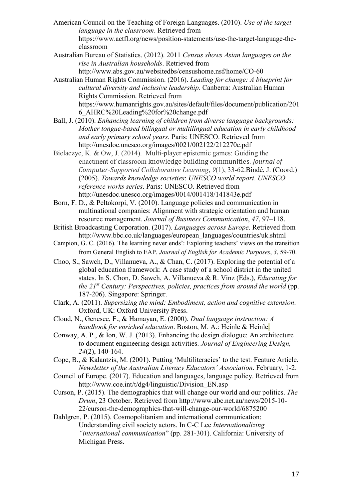- American Council on the Teaching of Foreign Languages. (2010). *Use of the target language in the classroom*. Retrieved from https://www.actfl.org/news/position-statements/use-the-target-language-theclassroom
- Australian Bureau of Statistics. (2012). 2011 *Census shows Asian languages on the rise in Australian households*. Retrieved from
- <http://www.abs.gov.au/websitedbs/censushome.nsf/home/CO-60> Australian Human Rights Commission. (2016). *Leading for change: A blueprint for cultural diversity and inclusive leadership*. Canberra: Australian Human Rights Commission. Retrieved from https://www.humanrights.gov.au/sites/default/files/document/publication/201
- 6\_AHRC%20Leading%20for%20change.pdf Ball, J. (2010). *Enhancing learning of children from diverse language backgrounds: Mother tongue-based bilingual or multilingual education in early childhood and early primary school years.* Paris: UNESCO. Retrieved from

http://unesdoc.unesco.org/images/0021/002122/212270e.pdf

- Bielaczyc, K. & Ow, J. (2014). Multi-player epistemic games: Guiding the enactment of classroom knowledge building communities. *Journal of Computer-Supported Collaborative Learning*, *9*(1), 33-62[.Bindé, J.](http://ictlogy.net/bibliography/reports/contacts.php?idc=274) (Coord.) (2005). *Towards knowledge societies*: *UNESCO world report*. *UNESCO reference works series*. Paris: UNESCO. Retrieved from http://unesdoc.unesco.org/images/0014/001418/141843e.pdf
- Born, F. D., & Peltokorpi, V. (2010). Language policies and communication in multinational companies: Alignment with strategic orientation and human resource management. *Journal of Business Communication*, *47*, 97–118.
- British Broadcasting Corporation. (2017). *Languages across Europe*. Retrieved from http://www.bbc.co.uk/languages/european\_languages/countries/uk.shtml
- Campion, G. C. (2016). The learning never ends': Exploring teachers' views on the transition from General English to EAP. *Journal of English for Academic Purposes*, *3*, 59-70.
- Choo, S., Sawch, D., Villanueva, A., & Chan, C. (2017). Exploring the potential of a global education framework: A case study of a school district in the united states. In S. Chon, D. Sawch, A. Villanueva & R. Vinz (Eds.), *Educating for the 21st Century: Perspectives, policies, practices from around the world* (pp. 187-206). Singapore: Springer.
- Clark, A. (2011). *Supersizing the mind: Embodiment, action and cognitive extension*. Oxford, UK: Oxford University Press.
- Cloud, N., Genesee, F., & Hamayan, E. (2000). *Dual language instruction: A handbook for enriched education*. Boston, M. A.: Heinle & Heinle.
- Conway, A. P., & Ion, W. J. (2013). Enhancing the design dialogue: An architecture to document engineering design activities. *Journal of Engineering Design, 24*(2), 140-164.
- Cope, B., & Kalantzis, M. (2001). Putting 'Multiliteracies' to the test. Feature Article. *Newsletter of the Australian Literacy Educators' Association*. February, 1-2.
- Council of Europe. (2017). Education and languages, language policy. Retrieved from http://www.coe.int/t/dg4/linguistic/Division\_EN.asp
- Curson, P. (2015). The demographics that will change our world and our politics. *The Drum*, 23 October. Retrieved from http://www.abc.net.au/news/2015-10- 22/curson-the-demographics-that-will-change-our-world/6875200
- Dahlgren, P. (2015). Cosmopolitanism and international communication: Understanding civil society actors. In C-C Lee *Internationalizing "international communication*" (pp. 281-301). California: University of Michigan Press.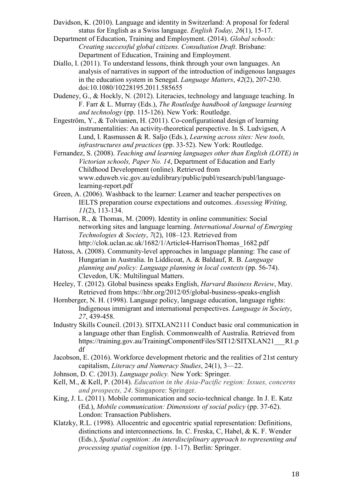- Davidson, K. (2010). Language and identity in Switzerland: A proposal for federal status for English as a Swiss language. *English Today, 26*(1), 15-17.
- Department of Education, Training and Employment. (2014). *Global schools: Creating successful global citizens. Consultation Draft*. Brisbane: Department of Education, Training and Employment.
- Diallo, I. (2011). To understand lessons, think through your own languages. An analysis of narratives in support of the introduction of indigenous languages in the education system in Senegal. *Language Matters*, *42*(2), 207-230. doi:10.1080/10228195.2011.585655
- Dudeney, G., & Hockly, N. (2012). Literacies, technology and language teaching. In F. Farr & L. Murray (Eds.), *The Routledge handbook of language learning and technology* (pp. 115-126). New York: Routledge.
- Engeström, Y., & Tolvianien, H. (2011). Co-configurational design of learning instrumentalities: An activity-theoretical perspective. In S. Ludvigsen, A Lund, I. Rasmussen & R. Saljo (Eds.), *Learning across sites: New tools, infrastructures and practices* (pp. 33-52). New York: Routledge.
- Fernandez, S. (2008). *Teaching and learning languages other than English (LOTE) in Victorian schools, Paper No. 14*, Department of Education and Early Childhood Development (online). Retrieved from www.eduweb.vic.gov.au/edulibrary/public/publ/research/publ/languagelearning-report.pdf
- Green, A. (2006). Washback to the learner: Learner and teacher perspectives on IELTS preparation course expectations and outcomes. *Assessing Writing, 11*(2), 113-134.
- Harrison, R., & Thomas, M. (2009). Identity in online communities: Social networking sites and language learning. *International Journal of Emerging Technologies & Society*, *7*(2), 108–123. Retrieved from http://clok.uclan.ac.uk/1682/1/Article4-HarrisonThomas\_1682.pdf
- Hatoss, A. (2008). Community-level approaches in language planning: The case of Hungarian in Australia. In Liddicoat, A. & Baldauf, R. B. *Language planning and policy: Language planning in local contexts* (pp. 56-74). Clevedon, UK: Multilingual Matters.
- Heeley, T. (2012). Global business speaks English, *Harvard Business Review*, May. Retrieved from https://hbr.org/2012/05/global-business-speaks-english
- Hornberger, N. H. (1998). Language policy, language education, language rights: Indigenous immigrant and international perspectives. *Language in Society*, *27*, 439-458.
- Industry Skills Council. (2013). SITXLAN2111 Conduct basic oral communication in a language other than English. Commonwealth of Australia. Retrieved from https://training.gov.au/TrainingComponentFiles/SIT12/SITXLAN21\_\_\_R1.p df
- Jacobson, E. (2016). Workforce development rhetoric and the realities of 21st century capitalism, *Literacy and Numeracy Studies*, 24(1), 3—22.
- Johnson, D. C. (2013). *Language policy.* New York: Springer.
- Kell, M., & Kell, P. (2014). *Education in the Asia-Pacific region: Issues, concerns and prospects, 24*. Singapore: Springer.
- King, J. L. (2011). Mobile communication and socio-technical change. In J. E. Katz (Ed.), *Mobile communication: Dimensions of social policy* (pp. 37-62). London: Transaction Publishers.
- Klatzky, R.L. (1998). Allocentric and egocentric spatial representation: Definitions, distinctions and interconnections. In. C. Freska, C, Habel, & K. F. Wender (Eds.), *Spatial cognition: An interdisciplinary approach to representing and processing spatial cognition* (pp. 1-17). Berlin: Springer.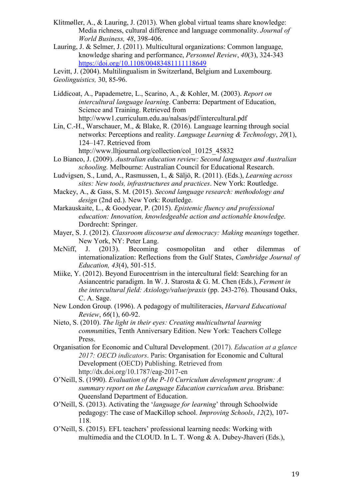- Klitmøller, A., & Lauring, J. (2013). When global virtual teams share knowledge: Media richness, cultural difference and language commonality. *Journal of World Business, 48*, 398-406.
- Lauring, J. & Selmer, J. (2011). Multicultural organizations: Common language, knowledge sharing and performance, *Personnel Review*, *40*(3), 324-343 <https://doi.org/10.1108/00483481111118649>

Levitt, J. (2004). Multilingualism in Switzerland, Belgium and Luxembourg. *Geolinguistics,* 30, 85-96.

Liddicoat, A., Papademetre, L., Scarino, A., & Kohler, M. (2003). *Report on intercultural language learning*. Canberra: Department of Education, Science and Training. Retrieved from http://www1.curriculum.edu.au/nalsas/pdf/intercultural.pdf

Lin, C.-H., Warschauer, M., & Blake, R. (2016). Language learning through social networks: Perceptions and reality. *Language Learning & Technology*, *20*(1), 124–147. Retrieved from

http://www.lltjournal.org/collection/col\_10125\_45832

- Lo Bianco, J. (2009). *Australian education review: Second languages and Australian schooling.* Melbourne: Australian Council for Educational Research.
- Ludvigsen, S., Lund, A., Rasmussen, I., & Säljö, R. (2011). (Eds.), *Learning across sites: New tools, infrastructures and practices*. New York: Routledge.
- Mackey, A., & Gass, S. M. (2015). *Second language research: methodology and design* (2nd ed.). New York: Routledge.
- Markauskaite, L., & Goodyear, P. (2015). *Epistemic fluency and professional education: Innovation, knowledgeable action and actionable knowledge*. Dordrecht: Springer.
- Mayer, S. J. (2012). *Classroom discourse and democracy: Making meanings* together. New York, NY: Peter Lang.
- McNiff, J. (2013). Becoming cosmopolitan and other dilemmas of internationalization: Reflections from the Gulf States, *Cambridge Journal of Education, 43*(4), 501-515.
- Miike, Y. (2012). Beyond Eurocentrism in the intercultural field: Searching for an Asiancentric paradigm. In W. J. Starosta & G. M. Chen (Eds.), *Ferment in the intercultural field: Axiology/value/praxis* (pp. 243-276). Thousand Oaks, C. A. Sage.
- New London Group. (1996). A pedagogy of multiliteracies, *Harvard Educational Review*, *66*(1), 60-92.
- Nieto, S. (2010). *The light in their eyes: Creating multiculturtal learning commu*nities, Tenth Anniversary Edition. New York: Teachers College Press.
- Organisation for Economic and Cultural Development. (2017). *Education at a glance 2017: OECD indicators*. Paris: Organisation for Economic and Cultural Development (OECD) Publishing. Retrieved from http://dx.doi.org/10.1787/eag-2017-en
- O'Neill, S. (1990). *Evaluation of the P-10 Curriculum development program: A summary report on the Language Education curriculum area.* Brisbane: Queensland Department of Education.
- O'Neill, S. (2013). Activating the '*language for learning*' through Schoolwide pedagogy: The case of MacKillop school. *Improving Schools*, *12*(2), 107- 118.
- O'Neill, S. (2015). EFL teachers' professional learning needs: Working with multimedia and the CLOUD. In L. T. Wong & A. Dubey-Jhaveri (Eds.),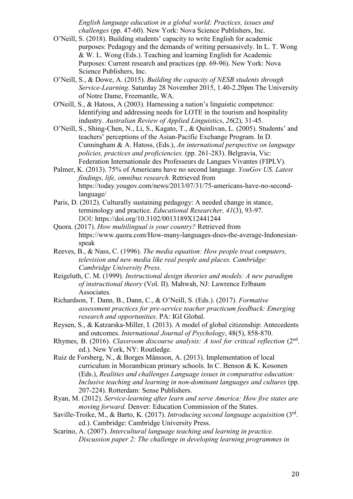*English language education in a global world: Practices, issues and challenges* (pp. 47-60). New York: Nova Science Publishers, Inc.

- O'Neill, S. (2018). Building students' capacity to write English for academic purposes: Pedagogy and the demands of writing persuasively. In L. T. Wong & W. L. Wong (Eds.). Teaching and learning English for Academic Purposes: Current research and practices (pp. 69-96). New York: Nova Science Publishers, Inc.
- O'Neill, S., & Dowe, A. (2015). *Building the capacity of NESB students through Service-Learning*. Saturday 28 November 2015, 1.40-2.20pm The University of Notre Dame, Freemantle, WA.
- O'Neill, S., & Hatoss, A (2003). Harnessing a nation's linguistic competence: Identifying and addressing needs for LOTE in the tourism and hospitality industry. *Australian Review of Applied Linguistics*, *26*(2), 31-45.
- O'Neill, S., Shing-Chen, N., Li, S., Kagato, T., & Quinlivan, L. (2005). Students' and teachers' perceptions of the Asian-Pacific Exchange Program. In D. Cunningham & A. Hatoss, (Eds.), *An international perspective on language policies, practices and proficiencies*. (pp. 261-283). Belgravia, Vic: Federation Internationale des Professeurs de Langues Vivantes (FIPLV).
- Palmer, K. (2013). 75% of Americans have no second language. *YouGov US. Latest findings, life, omnibus research*. Retrieved from https://today.yougov.com/news/2013/07/31/75-americans-have-no-secondlanguage/
- Paris, D. (2012). Culturally sustaining pedagogy: A needed change in stance, terminology and practice. *Educational Researcher, 41*(3), 93-97. DOI: <https://doi.org/10.3102/0013189X12441244>
- Quora. (2017). *How multilingual is your country?* Retrieved from https://www.quora.com/How-many-languages-does-the-average-Indonesianspeak
- Reeves, B., & Nass, C. (1996). *The media equation: How people treat computers, television and new media like real people and places. Cambridge: Cambridge University Press.*
- Reigeluth, C. M. (1999). *Instructional design theories and models: A new paradigm of instructional theory* (Vol. II). Mahwah, NJ: Lawrence Erlbaum Associates.
- Richardson, T. Dann, B., Dann, C., & O'Neill, S. (Eds.). (2017). *Formative assessment practices for pre-service teacher practicum feedback: Emerging research and opportunities*. PA: IGI Global.
- Reysen, S., & Katzarska-Miller, I. (2013). A model of global citizenship: Antecedents and outcomes. *International Journal of Psychology*, 48(5), 858-870.
- Rhymes, B. (2016). *Classroom discourse analysis: A tool for critical reflection* (2<sup>nd</sup>. ed.). New York, NY: Routledge.
- Ruiz de Forsberg, N., & Borges Månsson, A. (2013). Implementation of local curriculum in Mozambican primary schools. In C. Benson & K. Kosonen (Eds.), *Realities and challenges Language issues in comparative education: Inclusive teaching and learning in non-dominant languages and cultures* (pp. 207-224). Rotterdam: Sense Publishers.
- Ryan, M. (2012). *Service-learning after learn and serve America: How five states are moving forward.* Denver: Education Commission of the States.
- Saville-Troike, M., & Barto, K. (2017). *Introducing second language acquisition* (3rd. ed.). Cambridge: Cambridge University Press.
- Scarino, A. (2007). *Intercultural language teaching and learning in practice. Discussion paper 2: The challenge in developing learning programmes in*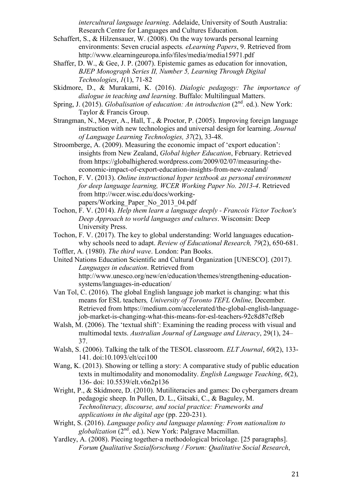*intercultural language learning*. Adelaide, University of South Australia: Research Centre for Languages and Cultures Education.

- Schaffert, S., & Hilzensauer, W. (2008). On the way towards personal learning environments: Seven crucial aspects*. eLearning Papers*, 9. Retrieved from http://www.elearningeuropa.info/files/media/media15971.pdf
- Shaffer, D. W., & Gee, J. P. (2007). [Epistemic games as education for innovation,](http://www.academia.edu/download/38800062/Epistemic-Games-as-Education-for-Innovation1.pdf) *BJEP Monograph Series II, Number 5, Learning Through Digital Technologies*, *1*(1), 71-82
- Skidmore, D., & Murakami, K. (2016). *Dialogic pedagogy: The importance of dialogue in teaching and learning*. Buffalo: Multilingual Matters.
- Spring, J. (2015). *Globalisation of education: An introduction* (2<sup>nd</sup>. ed.). New York: Taylor & Francis Group.
- Strangman, N., Meyer, A., Hall, T., & Proctor, P. (2005). Improving foreign language instruction with new technologies and universal design for learning. *Journal of Language Learning Technologies, 37*(2), 33-48.
- Stroomberge, A. (2009). Measuring the economic impact of 'export education': insights from New Zealand, *Global higher Education*, February. Retrieved from [https://globalhighered.wordpress.com/2009/02/07/measuring-the](https://globalhighered.wordpress.com/2009/02/07/measuring-the-economic-impact-of-export-education-insights-from-new-zealand/)[economic-impact-of-export-education-insights-from-new-zealand/](https://globalhighered.wordpress.com/2009/02/07/measuring-the-economic-impact-of-export-education-insights-from-new-zealand/)
- Tochon, F. V. (2013). *Online instructional hyper textbook as personal environment for deep language learning, WCER Working Paper No. 2013-4*. Retrieved from http://wcer.wisc.edu/docs/workingpapers/Working\_Paper\_No\_2013\_04.pdf
- Tochon, F. V. (2014). *Help them learn a language deeply - Francois Victor Tochon's Deep Approach to world languages and cultures*. Wisconsin: Deep University Press.
- Tochon, F. V. (2017). The key to global understanding: World languages educationwhy schools need to adapt. *Review of Educational Research, 79*(2), 650-681.
- Toffler, A. (1980). *The third wave*. London: Pan Books.
- United Nations Education Scientific and Cultural Organization [UNESCO]. (2017). *Languages in education*. Retrieved from

http://www.unesco.org/new/en/education/themes/strengthening-educationsystems/languages-in-education/

- Van Tol, C. (2016). The global English language job market is changing: what this means for ESL teachers*, [University of Toronto TEFL Online,](https://teflonline.teachaway.com/)* December*.*  Retrieved from https://medium.com/accelerated/the-global-english-languagejob-market-is-changing-what-this-means-for-esl-teachers-92c8d87cf8eb
- Walsh, M. (2006). The 'textual shift': Examining the reading process with visual and multimodal texts. *Australian Journal of Language and Literacy*, 29(1), 24– 37.
- Walsh, S. (2006). Talking the talk of the TESOL classroom. *ELT Journal*, *60*(2), 133- 141. doi:10.1093/elt/cci100
- Wang, K. (2013). Showing or telling a story: A comparative study of public education texts in multimodality and monomodality. *English Language Teaching*, *6*(2), 136- doi: 10.5539/elt.v6n2p136
- Wright, P., & Skidmore, D. (2010). Mutiliteracies and games: Do cybergamers dream pedagogic sheep. In Pullen, D. L., Gitsaki, C., & Baguley, M. *Technoliteracy, discourse, and social practice: Frameworks and applications in the digital age* (pp. 220-231).
- Wright, S. (2016). *Language policy and language planning: From nationalism to globalization* (2nd. ed.). New York: Palgrave Macmillan.
- Yardley, A. (2008). Piecing together-a methodological bricolage. [25 paragraphs]. *Forum Qualitative Sozialforschung / Forum: Qualitative Social Research*,